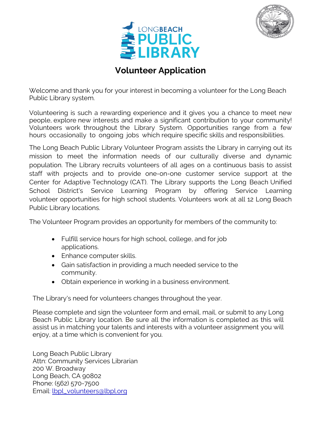



# **Volunteer Application**

Welcome and thank you for your interest in becoming a volunteer for the Long Beach Public Library system.

Volunteering is such a rewarding experience and it gives you a chance to meet new people, explore new interests and make a significant contribution to your community! Volunteers work throughout the Library System. Opportunities range from a few hours occasionally to ongoing jobs which require specific skills and responsibilities.

The Long Beach Public Library Volunteer Program assists the Library in carrying out its mission to meet the information needs of our culturally diverse and dynamic population. The Library recruits volunteers of all ages on a continuous basis to assist staff with projects and to provide one-on-one customer service support at the Center for Adaptive Technology (CAT). The Library supports the Long Beach Unified School District's Service Learning Program by offering Service Learning volunteer opportunities for high school students. Volunteers work at all 12 Long Beach Public Library locations.

The Volunteer Program provides an opportunity for members of the community to:

- Fulfill service hours for high school, college, and for job applications.
- Enhance computer skills.
- Gain satisfaction in providing a much needed service to the community.
- Obtain experience in working in a business environment.

The Library's need for volunteers changes throughout the year.

Please complete and sign the volunteer form and email, mail, or submit to any Long Beach Public Library location. Be sure all the information is completed as this will assist us in matching your talents and interests with a volunteer assignment you will enjoy, at a time which is convenient for you.

Long Beach Public Library Attn: Community Services Librarian 200 W. Broadway Long Beach, CA 90802 Phone: (562) 570-7500 Email: lbpl\_volunteers@lbpl.org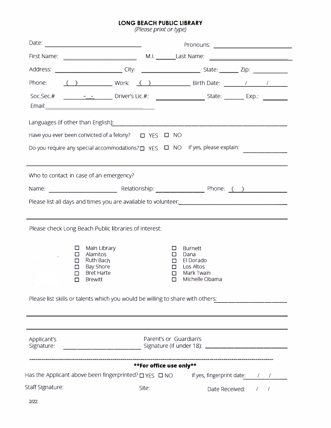#### **LONG BEACH PUBLIC LIBRARY**

*(Please print or 'type)* 

|                           | Phone: () Work: () Birth Date: / / /                                                                                                                                                  |                                                                                                                |                           |  |
|---------------------------|---------------------------------------------------------------------------------------------------------------------------------------------------------------------------------------|----------------------------------------------------------------------------------------------------------------|---------------------------|--|
|                           |                                                                                                                                                                                       |                                                                                                                |                           |  |
|                           |                                                                                                                                                                                       |                                                                                                                |                           |  |
|                           | Have you ever been convicted of a felony?<br><u> </u> YES<br><br><br><u> </u>                                                                                                         |                                                                                                                |                           |  |
|                           | Do you require any special accommodations? $\Box$ YES $\Box$ NO If yes, please explain:                                                                                               |                                                                                                                |                           |  |
|                           | Who to contact in case of an emergency?                                                                                                                                               |                                                                                                                |                           |  |
|                           |                                                                                                                                                                                       |                                                                                                                |                           |  |
|                           |                                                                                                                                                                                       |                                                                                                                |                           |  |
|                           | Please check Long Beach Public libraries of interest:                                                                                                                                 |                                                                                                                |                           |  |
| ப<br>□<br>П               | Main Library<br>Alamitos<br>Ruth Bach<br>Bay Shore<br><b>Bret Harte</b><br><b>Brewitt</b><br>$\Box$<br>Please list skills or talents which you would be willing to share with others: | <b>Burnett</b><br>□<br>Dana<br>□<br>El Dorado<br>п<br>Los Altos<br>п<br>Mark Twain<br>□<br>Michelle Obama<br>□ |                           |  |
| Applicant's<br>Signature: | <u>______________________________</u> Signature (if under 18): ________________________                                                                                               | Parent's or Guardian's                                                                                         |                           |  |
|                           |                                                                                                                                                                                       | **For office use only**                                                                                        |                           |  |
|                           | Has the Applicant above been fingerprinted? $\Box$ YES $\Box$ NO                                                                                                                      |                                                                                                                | If yes, fingerprint date: |  |
| Staff Signature:          | Site:                                                                                                                                                                                 |                                                                                                                | Date Received: / /        |  |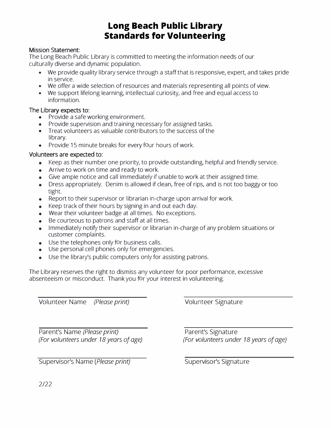## **Long Beach Public Library Standards for Volunteering**

#### **Mission Statement:**

The Long Beach Public Library is committed to meeting the information needs of our culturally diverse and dynamic population.

- We provide quality library service through a staff that is responsive, expert, and takes pride in service.
- We offer a wide selection of resources and materials representing all points of view.
- We support lifelong learning, intellectual curiosity, and free and equal access to information.

#### **The Library expects to:**

- Provide a safe working environment.
- Provide supervision and training necessary for assigned tasks.
- Treat volunteers as valuable contributors to the success of the library.
- Provide 15 minute breaks for every four hours of work.

#### **Volunteers are expected to:**

- Keep as their number one priority, to provide outstanding, helpful and friendly service.
- Arrive to work on time and ready to work.
- Give ample notice and call immediately if unable to work at their assigned time.
- Dress appropriately. Denim is allowed if clean, free of rips, and is not too baggy or too tight.
- Report to their supervisor or librarian in-charge upon arrival for work.
- Keep track of their hours by signing in and out each day.
- Wear their volunteer badge at all times. No exceptions.
- Be courteous to patrons and staff at all times.
- Immediately notify their supervisor or librarian in-charge of any problem situations or customer complaints.
- Use the telephones only for business calls.
- Use personal cell phones only for emergencies.
- Use the library's public computers only for assisting patrons.

The Library reserves the right to dismiss any volunteer for poor performance, excessive absenteeism or misconduct. Thank you for your interest in volunteering.

Volunteer Name *(Please print)* Volunteer Signature

Parent's Name *(Please print)*<br> *(For volunteers under 18 years of age) Parent's Signature* 

**Supervisor's Name (Please print) Supervisor's Signature** 

*(For volunteers under 18 years of age) (For volunteers under 18 years of age)* 

2/22